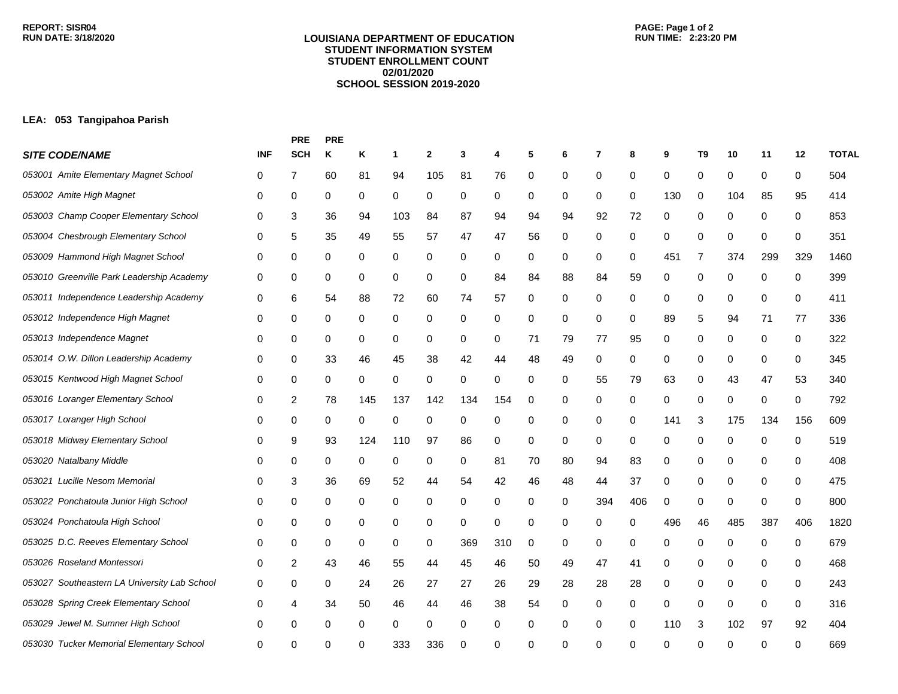## **LOUISIANA DEPARTMENT OF EDUCATION STUDENT INFORMATION SYSTEM STUDENT ENROLLMENT COUNT 02/01/2020 SCHOOL SESSION 2019-2020**

## **LEA: 053 Tangipahoa Parish**

|                                              |            | <b>PRE</b> | <b>PRE</b> |     |     |              |             |     |    |    |          |                  |     |             |     |             |     |              |
|----------------------------------------------|------------|------------|------------|-----|-----|--------------|-------------|-----|----|----|----------|------------------|-----|-------------|-----|-------------|-----|--------------|
| <b>SITE CODE/NAME</b>                        | <b>INF</b> | <b>SCH</b> | Κ          | Κ   | 1   | $\mathbf{2}$ | 3           | 4   | 5  | 6  | 7        | 8                | 9   | T9          | 10  | 11          | 12  | <b>TOTAL</b> |
| 053001 Amite Elementary Magnet School        | 0          | 7          | 60         | 81  | 94  | 105          | 81          | 76  | 0  | 0  | 0        | 0                | 0   | 0           | 0   | 0           | 0   | 504          |
| 053002 Amite High Magnet                     | 0          | 0          | 0          | 0   | 0   | 0            | 0           | 0   | 0  | 0  | 0        | 0                | 130 | $\mathbf 0$ | 104 | 85          | 95  | 414          |
| 053003 Champ Cooper Elementary School        | 0          | 3          | 36         | 94  | 103 | 84           | 87          | 94  | 94 | 94 | 92       | 72               | 0   | 0           | 0   | 0           | 0   | 853          |
| 053004 Chesbrough Elementary School          | 0          | 5          | 35         | 49  | 55  | 57           | 47          | 47  | 56 | 0  | 0        | 0                | 0   | 0           | 0   | 0           | 0   | 351          |
| 053009 Hammond High Magnet School            | 0          | 0          | 0          | 0   | 0   | 0            | 0           | 0   | 0  | 0  | 0        | 0                | 451 | 7           | 374 | 299         | 329 | 1460         |
| 053010 Greenville Park Leadership Academy    | 0          | 0          | 0          | 0   | 0   | 0            | 0           | 84  | 84 | 88 | 84       | 59               | 0   | 0           | 0   | 0           | 0   | 399          |
| 053011 Independence Leadership Academy       | 0          | 6          | 54         | 88  | 72  | 60           | 74          | 57  | 0  | 0  | 0        | 0                | 0   | 0           | 0   | 0           | 0   | 411          |
| 053012 Independence High Magnet              | 0          | 0          | 0          | 0   | 0   | $\pmb{0}$    | 0           | 0   | 0  | 0  | 0        | 0                | 89  | 5           | 94  | 71          | 77  | 336          |
| 053013 Independence Magnet                   | 0          | 0          | 0          | 0   | 0   | 0            | $\mathbf 0$ | 0   | 71 | 79 | 77       | 95               | 0   | 0           | 0   | 0           | 0   | 322          |
| 053014 O.W. Dillon Leadership Academy        | 0          | 0          | 33         | 46  | 45  | 38           | 42          | 44  | 48 | 49 | 0        | 0                | 0   | 0           | 0   | 0           | 0   | 345          |
| 053015 Kentwood High Magnet School           | 0          | 0          | 0          | 0   | 0   | 0            | 0           | 0   | 0  | 0  | 55       | 79               | 63  | 0           | 43  | 47          | 53  | 340          |
| 053016 Loranger Elementary School            | 0          | 2          | 78         | 145 | 137 | 142          | 134         | 154 | 0  | 0  | 0        | 0                | 0   | 0           | 0   | 0           | 0   | 792          |
| 053017 Loranger High School                  | 0          | 0          | 0          | 0   | 0   | 0            | 0           | 0   | 0  | 0  | 0        | 0                | 141 | 3           | 175 | 134         | 156 | 609          |
| 053018 Midway Elementary School              | 0          | 9          | 93         | 124 | 110 | 97           | 86          | 0   | 0  | 0  | 0        | $\boldsymbol{0}$ | 0   | 0           | 0   | 0           | 0   | 519          |
| 053020 Natalbany Middle                      | 0          | 0          | 0          | 0   | 0   | 0            | 0           | 81  | 70 | 80 | 94       | 83               | 0   | 0           | 0   | 0           | 0   | 408          |
| 053021 Lucille Nesom Memorial                | 0          | 3          | 36         | 69  | 52  | 44           | 54          | 42  | 46 | 48 | 44       | 37               | 0   | 0           | 0   | 0           | 0   | 475          |
| 053022 Ponchatoula Junior High School        | 0          | 0          | 0          | 0   | 0   | 0            | 0           | 0   | 0  | 0  | 394      | 406              | 0   | 0           | 0   | 0           | 0   | 800          |
| 053024 Ponchatoula High School               | 0          | 0          | 0          | 0   | 0   | 0            | $\mathbf 0$ | 0   | 0  | 0  | 0        | 0                | 496 | 46          | 485 | 387         | 406 | 1820         |
| 053025 D.C. Reeves Elementary School         | 0          | 0          | 0          | 0   | 0   | 0            | 369         | 310 | 0  | 0  | 0        | 0                | 0   | 0           | 0   | 0           | 0   | 679          |
| 053026 Roseland Montessori                   | 0          | 2          | 43         | 46  | 55  | 44           | 45          | 46  | 50 | 49 | 47       | 41               | 0   | 0           | 0   | 0           | 0   | 468          |
| 053027 Southeastern LA University Lab School | 0          | 0          | 0          | 24  | 26  | 27           | 27          | 26  | 29 | 28 | 28       | 28               | 0   | 0           | 0   | 0           | 0   | 243          |
| 053028 Spring Creek Elementary School        | 0          | 4          | 34         | 50  | 46  | 44           | 46          | 38  | 54 | 0  | 0        | 0                | 0   | 0           | 0   | $\mathbf 0$ | 0   | 316          |
| 053029 Jewel M. Sumner High School           | 0          | 0          | 0          | 0   | 0   | 0            | 0           | 0   | 0  | 0  | 0        | 0                | 110 | 3           | 102 | 97          | 92  | 404          |
| 053030 Tucker Memorial Elementary School     | 0          | ∩          |            |     | 333 | 336          | ∩           | 0   | 0  | ŋ  | $\Omega$ | ∩                | ∩   | $\Omega$    | ∩   | ∩           |     | 669          |